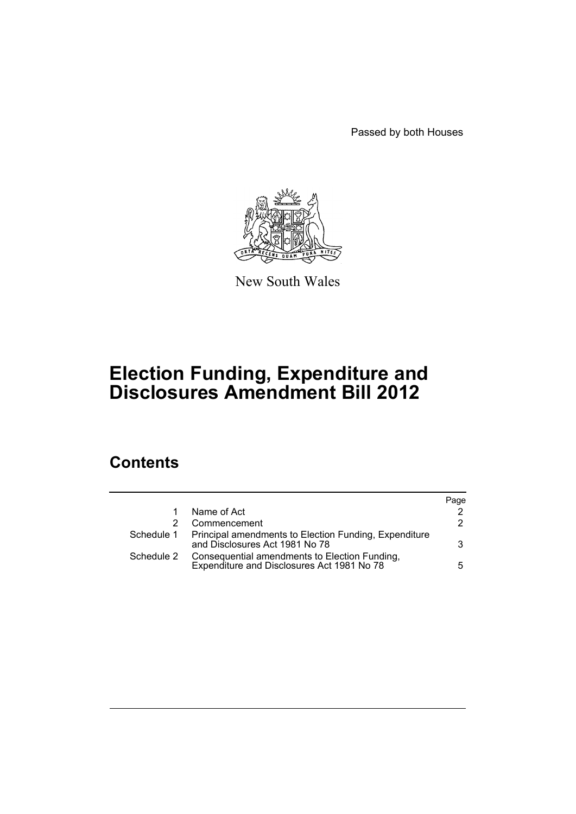Passed by both Houses



New South Wales

# **Election Funding, Expenditure and Disclosures Amendment Bill 2012**

# **Contents**

|            |                                                                                                    | Page |
|------------|----------------------------------------------------------------------------------------------------|------|
|            | Name of Act                                                                                        |      |
|            | Commencement                                                                                       | 2    |
|            | Schedule 1 Principal amendments to Election Funding, Expenditure<br>and Disclosures Act 1981 No 78 | 3    |
| Schedule 2 | Consequential amendments to Election Funding,<br>Expenditure and Disclosures Act 1981 No 78        | 5.   |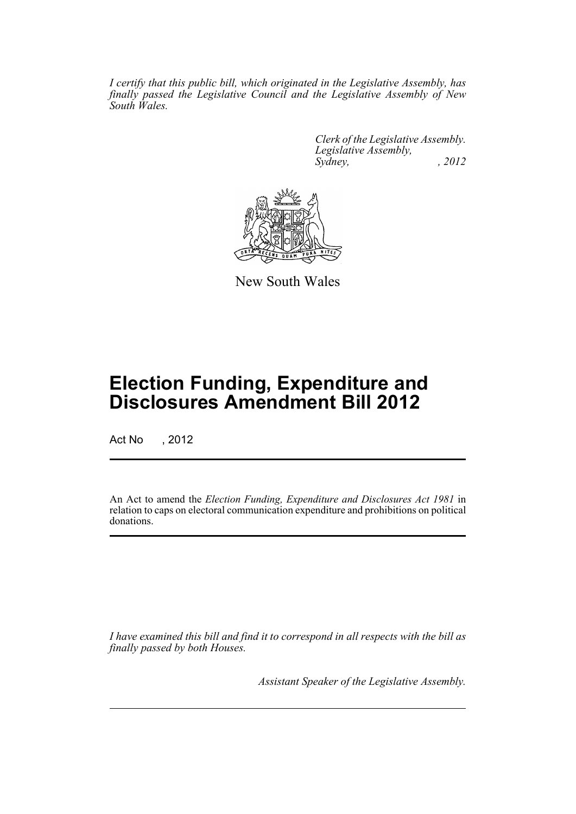*I certify that this public bill, which originated in the Legislative Assembly, has finally passed the Legislative Council and the Legislative Assembly of New South Wales.*

> *Clerk of the Legislative Assembly. Legislative Assembly, Sydney, , 2012*



New South Wales

# **Election Funding, Expenditure and Disclosures Amendment Bill 2012**

Act No , 2012

An Act to amend the *Election Funding, Expenditure and Disclosures Act 1981* in relation to caps on electoral communication expenditure and prohibitions on political donations.

*I have examined this bill and find it to correspond in all respects with the bill as finally passed by both Houses.*

*Assistant Speaker of the Legislative Assembly.*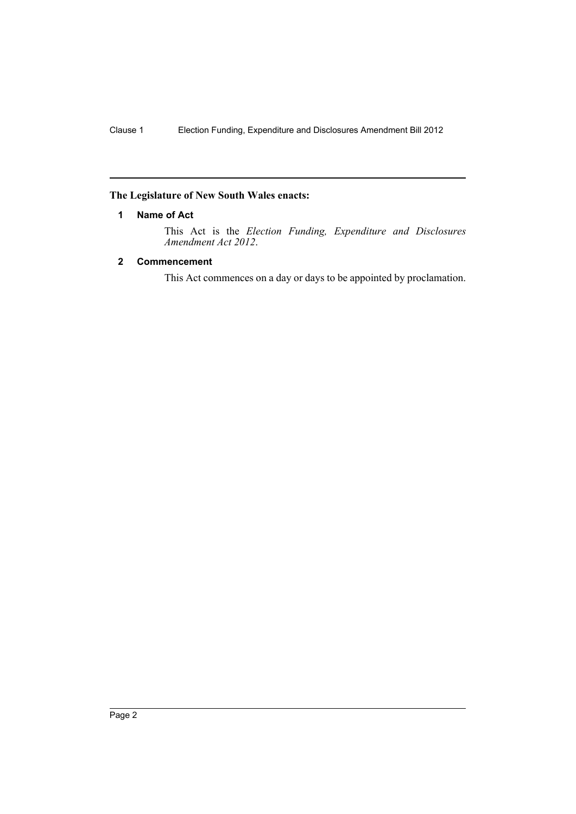# <span id="page-3-0"></span>**The Legislature of New South Wales enacts:**

# **1 Name of Act**

This Act is the *Election Funding, Expenditure and Disclosures Amendment Act 2012*.

# <span id="page-3-1"></span>**2 Commencement**

This Act commences on a day or days to be appointed by proclamation.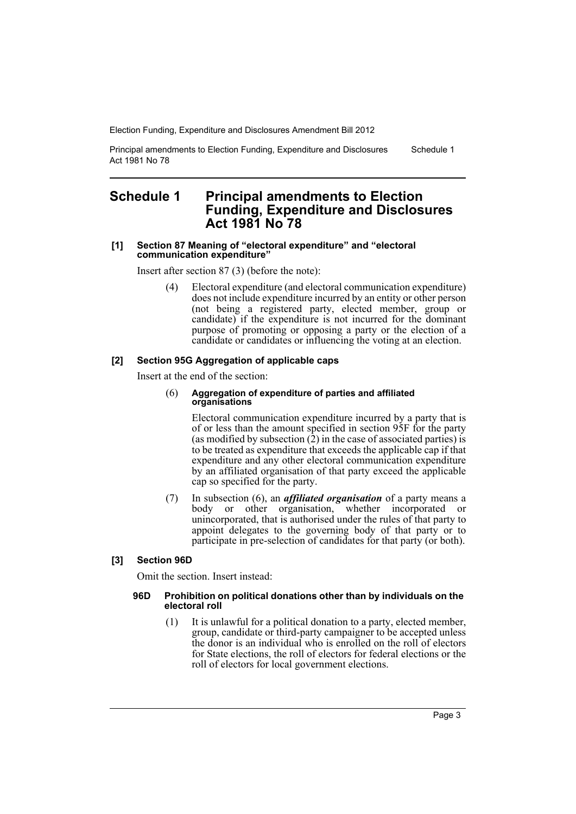Principal amendments to Election Funding, Expenditure and Disclosures Act 1981 No 78 Schedule 1

# <span id="page-4-0"></span>**Schedule 1 Principal amendments to Election Funding, Expenditure and Disclosures Act 1981 No 78**

#### **[1] Section 87 Meaning of "electoral expenditure" and "electoral communication expenditure"**

Insert after section 87 (3) (before the note):

Electoral expenditure (and electoral communication expenditure) does not include expenditure incurred by an entity or other person (not being a registered party, elected member, group or candidate) if the expenditure is not incurred for the dominant purpose of promoting or opposing a party or the election of a candidate or candidates or influencing the voting at an election.

## **[2] Section 95G Aggregation of applicable caps**

Insert at the end of the section:

#### (6) **Aggregation of expenditure of parties and affiliated organisations**

Electoral communication expenditure incurred by a party that is of or less than the amount specified in section 95F for the party (as modified by subsection  $(2)$ ) in the case of associated parties) is to be treated as expenditure that exceeds the applicable cap if that expenditure and any other electoral communication expenditure by an affiliated organisation of that party exceed the applicable cap so specified for the party.

(7) In subsection (6), an *affiliated organisation* of a party means a body or other organisation, whether incorporated or unincorporated, that is authorised under the rules of that party to appoint delegates to the governing body of that party or to participate in pre-selection of candidates for that party (or both).

# **[3] Section 96D**

Omit the section. Insert instead:

#### **96D Prohibition on political donations other than by individuals on the electoral roll**

(1) It is unlawful for a political donation to a party, elected member, group, candidate or third-party campaigner to be accepted unless the donor is an individual who is enrolled on the roll of electors for State elections, the roll of electors for federal elections or the roll of electors for local government elections.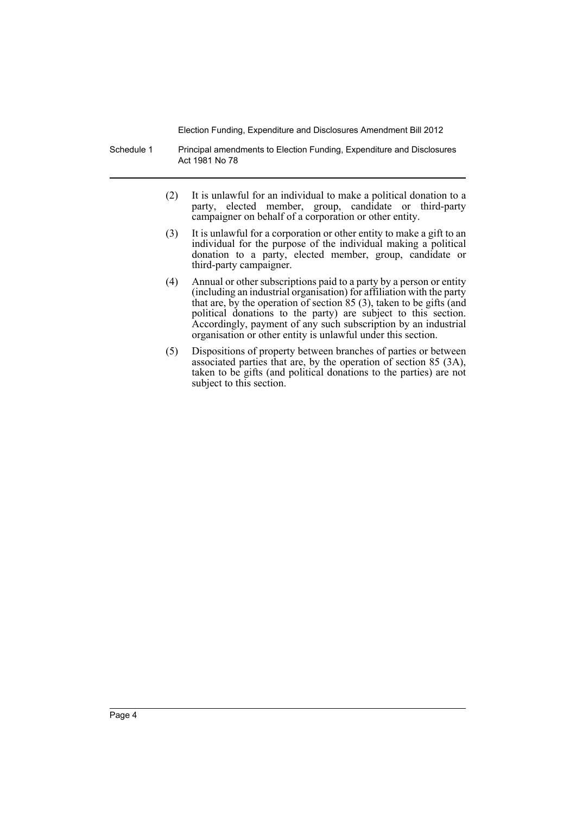Schedule 1 Principal amendments to Election Funding, Expenditure and Disclosures Act 1981 No 78

- (2) It is unlawful for an individual to make a political donation to a party, elected member, group, candidate or third-party campaigner on behalf of a corporation or other entity.
- (3) It is unlawful for a corporation or other entity to make a gift to an individual for the purpose of the individual making a political donation to a party, elected member, group, candidate or third-party campaigner.
- (4) Annual or other subscriptions paid to a party by a person or entity (including an industrial organisation) for affiliation with the party that are, by the operation of section 85 (3), taken to be gifts (and political donations to the party) are subject to this section. Accordingly, payment of any such subscription by an industrial organisation or other entity is unlawful under this section.
- (5) Dispositions of property between branches of parties or between associated parties that are, by the operation of section 85 (3A), taken to be gifts (and political donations to the parties) are not subject to this section.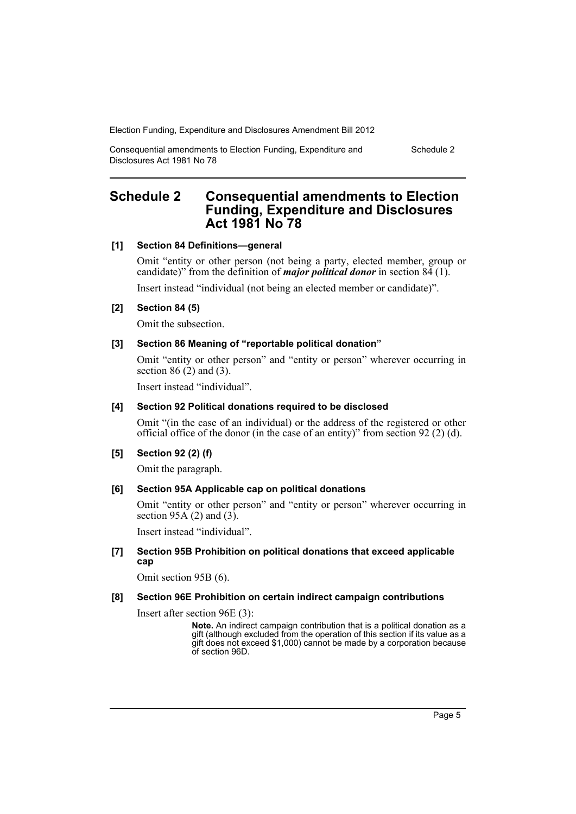Consequential amendments to Election Funding, Expenditure and Disclosures Act 1981 No 78

Schedule 2

# <span id="page-6-0"></span>**Schedule 2 Consequential amendments to Election Funding, Expenditure and Disclosures Act 1981 No 78**

## **[1] Section 84 Definitions—general**

Omit "entity or other person (not being a party, elected member, group or candidate)" from the definition of *major political donor* in section 84 (1).

Insert instead "individual (not being an elected member or candidate)".

## **[2] Section 84 (5)**

Omit the subsection.

## **[3] Section 86 Meaning of "reportable political donation"**

Omit "entity or other person" and "entity or person" wherever occurring in section  $86(2)$  and  $(3)$ .

Insert instead "individual".

#### **[4] Section 92 Political donations required to be disclosed**

Omit "(in the case of an individual) or the address of the registered or other official office of the donor (in the case of an entity)" from section 92 (2) (d).

## **[5] Section 92 (2) (f)**

Omit the paragraph.

#### **[6] Section 95A Applicable cap on political donations**

Omit "entity or other person" and "entity or person" wherever occurring in section 95 $\vec{A}$  (2) and (3).

Insert instead "individual".

#### **[7] Section 95B Prohibition on political donations that exceed applicable cap**

Omit section 95B (6).

#### **[8] Section 96E Prohibition on certain indirect campaign contributions**

Insert after section 96E (3):

**Note.** An indirect campaign contribution that is a political donation as a gift (although excluded from the operation of this section if its value as a gift does not exceed \$1,000) cannot be made by a corporation because of section 96D.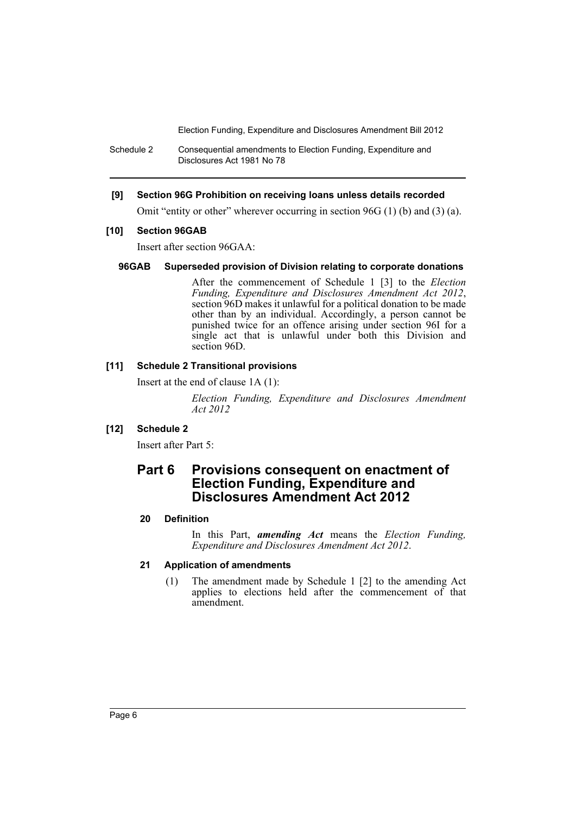Schedule 2 Consequential amendments to Election Funding, Expenditure and Disclosures Act 1981 No 78

## **[9] Section 96G Prohibition on receiving loans unless details recorded**

Omit "entity or other" wherever occurring in section 96G (1) (b) and (3) (a).

#### **[10] Section 96GAB**

Insert after section 96GAA:

#### **96GAB Superseded provision of Division relating to corporate donations**

After the commencement of Schedule 1 [3] to the *Election Funding, Expenditure and Disclosures Amendment Act 2012*, section 96D makes it unlawful for a political donation to be made other than by an individual. Accordingly, a person cannot be punished twice for an offence arising under section 96I for a single act that is unlawful under both this Division and section 96D.

# **[11] Schedule 2 Transitional provisions**

Insert at the end of clause 1A (1):

*Election Funding, Expenditure and Disclosures Amendment Act 2012*

## **[12] Schedule 2**

Insert after Part 5:

# **Part 6 Provisions consequent on enactment of Election Funding, Expenditure and Disclosures Amendment Act 2012**

#### **20 Definition**

In this Part, *amending Act* means the *Election Funding, Expenditure and Disclosures Amendment Act 2012*.

# **21 Application of amendments**

(1) The amendment made by Schedule 1 [2] to the amending Act applies to elections held after the commencement of that amendment.